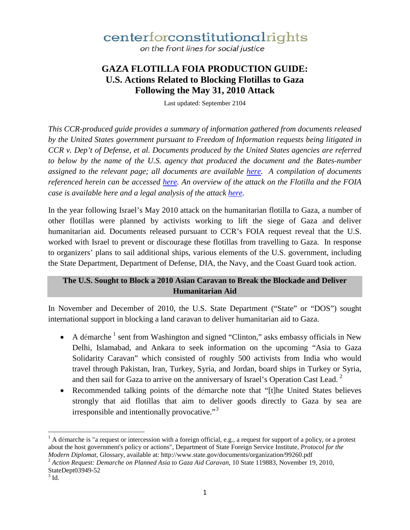on the front lines for social justice

## **GAZA FLOTILLA FOIA PRODUCTION GUIDE: U.S. Actions Related to Blocking Flotillas to Gaza Following the May 31, 2010 Attack**

Last updated: September 2104

*This CCR-produced guide provides a summary of information gathered from documents released by the United States government pursuant to Freedom of Information requests being litigated in CCR v. Dep't of Defense, et al. Documents produced by the United States agencies are referred to below by the name of the U.S. agency that produced the document and the Bates-number assigned to the relevant page; all documents are available here. A compilation of documents referenced herein can be accessed here. An overview of the attack on the Flotilla and the FOIA case is available here and a legal analysis of the attack here.* 

In the year following Israel's May 2010 attack on the humanitarian flotilla to Gaza, a number of other flotillas were planned by activists working to lift the siege of Gaza and deliver humanitarian aid. Documents released pursuant to CCR's FOIA request reveal that the U.S. worked with Israel to prevent or discourage these flotillas from travelling to Gaza. In response to organizers' plans to sail additional ships, various elements of the U.S. government, including the State Department, Department of Defense, DIA, the Navy, and the Coast Guard took action.

## **The U.S. Sought to Block a 2010 Asian Caravan to Break the Blockade and Deliver Humanitarian Aid**

In November and December of 2010, the U.S. State Department ("State" or "DOS") sought international support in blocking a land caravan to deliver humanitarian aid to Gaza.

- A démarche  $<sup>1</sup>$  sent from Washington and signed "Clinton," asks embassy officials in New</sup> Delhi, Islamabad, and Ankara to seek information on the upcoming "Asia to Gaza Solidarity Caravan" which consisted of roughly 500 activists from India who would travel through Pakistan, Iran, Turkey, Syria, and Jordan, board ships in Turkey or Syria, and then sail for Gaza to arrive on the anniversary of Israel's Operation Cast Lead.<sup>2</sup>
- Recommended talking points of the démarche note that "[t]he United States believes strongly that aid flotillas that aim to deliver goods directly to Gaza by sea are irresponsible and intentionally provocative."<sup>3</sup>

 $\overline{\phantom{a}}$ 

 $<sup>1</sup>$  A démarche is "a request or intercession with a foreign official, e.g., a request for support of a policy, or a protest</sup> about the host government's policy or actions", Department of State Foreign Service Institute, *Protocol for the* 

*Modern Diplomat*, Glossary, available at: http://www.state.gov/documents/organization/99260.pdf <sup>2</sup> *Action Request: Demarche on Planned Asia to Gaza Aid Caravan*, 10 State 119883, November 19, 2010, StateDept03949-52<br> $3$  Id.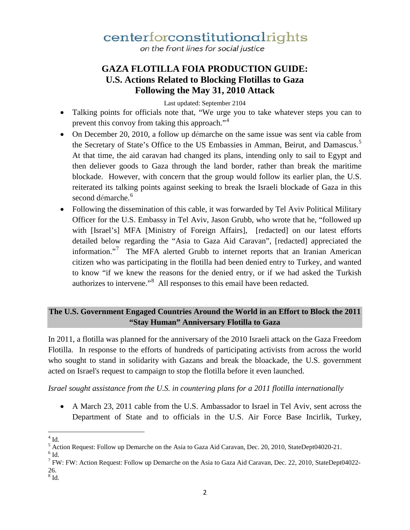on the front lines for social justice

## **GAZA FLOTILLA FOIA PRODUCTION GUIDE: U.S. Actions Related to Blocking Flotillas to Gaza Following the May 31, 2010 Attack**

Last updated: September 2104

- Talking points for officials note that, "We urge you to take whatever steps you can to prevent this convoy from taking this approach."<sup>4</sup>
- On December 20, 2010, a follow up démarche on the same issue was sent via cable from the Secretary of State's Office to the US Embassies in Amman, Beirut, and Damascus.<sup>5</sup> At that time, the aid caravan had changed its plans, intending only to sail to Egypt and then deliever goods to Gaza through the land border, rather than break the maritime blockade. However, with concern that the group would follow its earlier plan, the U.S. reiterated its talking points against seeking to break the Israeli blockade of Gaza in this second démarche. 6
- Following the dissemination of this cable, it was forwarded by Tel Aviv Political Military Officer for the U.S. Embassy in Tel Aviv, Jason Grubb, who wrote that he, "followed up with [Israel's] MFA [Ministry of Foreign Affairs], [redacted] on our latest efforts detailed below regarding the "Asia to Gaza Aid Caravan", [redacted] appreciated the information."<sup>7</sup> The MFA alerted Grubb to internet reports that an Iranian American citizen who was participating in the flotilla had been denied entry to Turkey, and wanted to know "if we knew the reasons for the denied entry, or if we had asked the Turkish authorizes to intervene."<sup>8</sup> All responses to this email have been redacted.

## **The U.S. Government Engaged Countries Around the World in an Effort to Block the 2011 "Stay Human" Anniversary Flotilla to Gaza**

In 2011, a flotilla was planned for the anniversary of the 2010 Israeli attack on the Gaza Freedom Flotilla. In response to the efforts of hundreds of participating activists from across the world who sought to stand in solidarity with Gazans and break the bloackade, the U.S. government acted on Israel's request to campaign to stop the flotilla before it even launched.

*Israel sought assistance from the U.S. in countering plans for a 2011 flotilla internationally* 

- A March 23, 2011 cable from the U.S. Ambassador to Israel in Tel Aviv, sent across the Department of State and to officials in the U.S. Air Force Base Incirlik, Turkey,
- $4$  Id.  $\overline{\phantom{a}}$

 $^5$  Action Request: Follow up Demarche on the Asia to Gaza Aid Caravan, Dec. 20, 2010, StateDept04020-21.  $^6$  Id.

<sup>7</sup> FW: FW: Action Request: Follow up Demarche on the Asia to Gaza Aid Caravan, Dec. 22, 2010, StateDept04022-  $^{26.}$  8 Id.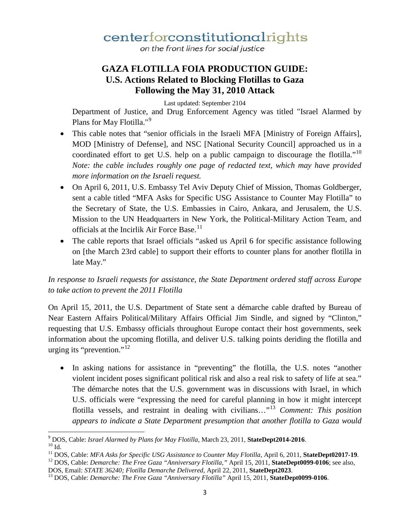on the front lines for social justice

## **GAZA FLOTILLA FOIA PRODUCTION GUIDE: U.S. Actions Related to Blocking Flotillas to Gaza Following the May 31, 2010 Attack**

Last updated: September 2104

Department of Justice, and Drug Enforcement Agency was titled "Israel Alarmed by Plans for May Flotilla."<sup>9</sup>

- This cable notes that "senior officials in the Israeli MFA [Ministry of Foreign Affairs], MOD [Ministry of Defense], and NSC [National Security Council] approached us in a coordinated effort to get U.S. help on a public campaign to discourage the flotilla."<sup>10</sup> *Note: the cable includes roughly one page of redacted text, which may have provided more information on the Israeli request.*
- On April 6, 2011, U.S. Embassy Tel Aviv Deputy Chief of Mission, Thomas Goldberger, sent a cable titled "MFA Asks for Specific USG Assistance to Counter May Flotilla" to the Secretary of State, the U.S. Embassies in Cairo, Ankara, and Jerusalem, the U.S. Mission to the UN Headquarters in New York, the Political-Military Action Team, and officials at the Incirlik Air Force Base.<sup>11</sup>
- The cable reports that Israel officials "asked us April 6 for specific assistance following on [the March 23rd cable] to support their efforts to counter plans for another flotilla in late May."

## *In response to Israeli requests for assistance, the State Department ordered staff across Europe to take action to prevent the 2011 Flotilla*

On April 15, 2011, the U.S. Department of State sent a démarche cable drafted by Bureau of Near Eastern Affairs Political/Military Affairs Official Jim Sindle, and signed by "Clinton," requesting that U.S. Embassy officials throughout Europe contact their host governments, seek information about the upcoming flotilla, and deliver U.S. talking points deriding the flotilla and urging its "prevention."<sup>12</sup>

• In asking nations for assistance in "preventing" the flotilla, the U.S. notes "another violent incident poses significant political risk and also a real risk to safety of life at sea." The démarche notes that the U.S. government was in discussions with Israel, in which U.S. officials were "expressing the need for careful planning in how it might intercept flotilla vessels, and restraint in dealing with civilians..."<sup>13</sup> *Comment: This position appears to indicate a State Department presumption that another flotilla to Gaza would* 

 $\overline{\phantom{a}}$ 

<sup>&</sup>lt;sup>9</sup> DOS, Cable: *Israel Alarmed by Plans for May Flotilla*, March 23, 2011, **StateDept2014-2016**.<br><sup>10</sup> Id.<br><sup>11</sup> DOS, Cable: *MFA Asks for Specific USG Assistance to Counter May Flotilla*, April 6, 2011, **StateDept02017-19** 

DOS, Email: *STATE 36240; Flotilla Demarche Delivered,* April 22, 2011, **StateDept2023**. 13 DOS, Cable: *Demarche: The Free Gaza "Anniversary Flotilla"* April 15, 2011, **StateDept0099-0106**.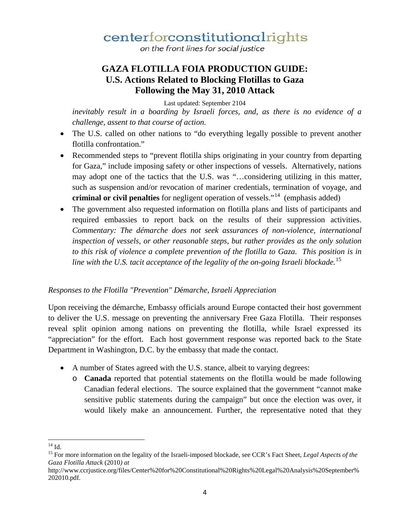on the front lines for social justice

## **GAZA FLOTILLA FOIA PRODUCTION GUIDE: U.S. Actions Related to Blocking Flotillas to Gaza Following the May 31, 2010 Attack**

Last updated: September 2104

*inevitably result in a boarding by Israeli forces, and, as there is no evidence of a challenge, assent to that course of action.*

- The U.S. called on other nations to "do everything legally possible to prevent another flotilla confrontation."
- Recommended steps to "prevent flotilla ships originating in your country from departing for Gaza," include imposing safety or other inspections of vessels. Alternatively, nations may adopt one of the tactics that the U.S. was "…considering utilizing in this matter, such as suspension and/or revocation of mariner credentials, termination of voyage, and **criminal or civil penalties** for negligent operation of vessels."14 (emphasis added)
- The government also requested information on flotilla plans and lists of participants and required embassies to report back on the results of their suppression activities. *Commentary: The démarche does not seek assurances of non-violence, international inspection of vessels, or other reasonable steps, but rather provides as the only solution to this risk of violence a complete prevention of the flotilla to Gaza. This position is in line with the U.S. tacit acceptance of the legality of the on-going Israeli blockade.*<sup>15</sup>

### *Responses to the Flotilla "Prevention" D*é*marche, Israeli Appreciation*

Upon receiving the démarche, Embassy officials around Europe contacted their host government to deliver the U.S. message on preventing the anniversary Free Gaza Flotilla. Their responses reveal split opinion among nations on preventing the flotilla, while Israel expressed its "appreciation" for the effort. Each host government response was reported back to the State Department in Washington, D.C. by the embassy that made the contact.

- A number of States agreed with the U.S. stance, albeit to varying degrees:
	- o **Canada** reported that potential statements on the flotilla would be made following Canadian federal elections. The source explained that the government "cannot make sensitive public statements during the campaign" but once the election was over, it would likely make an announcement. Further, the representative noted that they

 $^{14}$  Id

<sup>&</sup>lt;sup>15</sup> For more information on the legality of the Israeli-imposed blockade, see CCR's Fact Sheet, *Legal Aspects of the Gaza Flotilla Attack* (2010*) at* 

http://www.ccrjustice.org/files/Center%20for%20Constitutional%20Rights%20Legal%20Analysis%20September% 202010.pdf.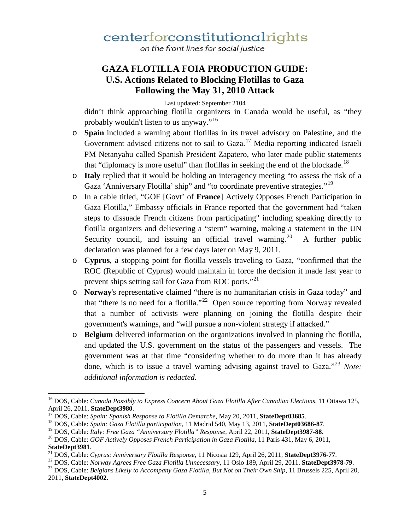on the front lines for social justice

## **GAZA FLOTILLA FOIA PRODUCTION GUIDE: U.S. Actions Related to Blocking Flotillas to Gaza Following the May 31, 2010 Attack**

Last updated: September 2104

didn't think approaching flotilla organizers in Canada would be useful, as "they probably wouldn't listen to us anyway."<sup>16</sup>

- o **Spain** included a warning about flotillas in its travel advisory on Palestine, and the Government advised citizens not to sail to Gaza.<sup>17</sup> Media reporting indicated Israeli PM Netanyahu called Spanish President Zapatero, who later made public statements that "diplomacy is more useful" than flotillas in seeking the end of the blockade.<sup>18</sup>
- o **Italy** replied that it would be holding an interagency meeting "to assess the risk of a Gaza 'Anniversary Flotilla' ship" and "to coordinate preventive strategies."<sup>19</sup>
- o In a cable titled, "GOF [Govt' of **France**] Actively Opposes French Participation in Gaza Flotilla," Embassy officials in France reported that the government had "taken steps to dissuade French citizens from participating" including speaking directly to flotilla organizers and delievering a "stern" warning, making a statement in the UN Security council, and issuing an official travel warning.<sup>20</sup> A further public declaration was planned for a few days later on May 9, 2011.
- o **Cyprus**, a stopping point for flotilla vessels traveling to Gaza, "confirmed that the ROC (Republic of Cyprus) would maintain in force the decision it made last year to prevent ships setting sail for Gaza from ROC ports."<sup>21</sup>
- o **Norway**'s representative claimed "there is no humanitarian crisis in Gaza today" and that "there is no need for a flotilla."<sup>22</sup> Open source reporting from Norway revealed that a number of activists were planning on joining the flotilla despite their government's warnings, and "will pursue a non-violent strategy if attacked."
- o **Belgium** delivered information on the organizations involved in planning the flotilla, and updated the U.S. government on the status of the passengers and vessels. The government was at that time "considering whether to do more than it has already done, which is to issue a travel warning advising against travel to Gaza.<sup>223</sup> *Note: additional information is redacted.*

 $\overline{\phantom{a}}$ 

<sup>&</sup>lt;sup>16</sup> DOS, Cable: *Canada Possibly to Express Concern About Gaza Flotilla After Canadian Elections*, 11 Ottawa 125, April 26, 2011, **StateDept3980**.

<sup>&</sup>lt;sup>17</sup>DOS, Cable: *Spain: Spanish Response to Flotilla Demarche*, May 20, 2011, **StateDept03685**.<br><sup>18</sup>DOS, Cable: *Spain: Gaza Flotilla participation*, 11 Madrid 540, May 13, 2011, **StateDept03686-87**.<br><sup>19</sup>DOS, Cable: *Ital* 

<sup>&</sup>lt;sup>21</sup> DOS, Cable: Cyprus: Anniversary Flotilla Response, 11 Nicosia 129, April 26, 2011, **StateDept3976-77**.<br><sup>22</sup> DOS, Cable: *Norway Agrees Free Gaza Flotilla Unnecessary*, 11 Oslo 189, April 29, 2011, **StateDept3978-79**.<br>

<sup>2011,</sup> **StateDept4002**.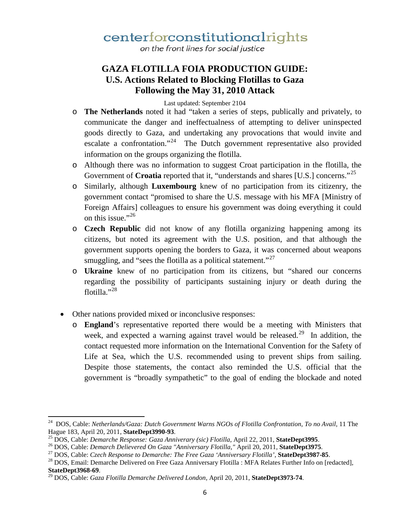on the front lines for social justice

## **GAZA FLOTILLA FOIA PRODUCTION GUIDE: U.S. Actions Related to Blocking Flotillas to Gaza Following the May 31, 2010 Attack**

#### Last updated: September 2104

- o **The Netherlands** noted it had "taken a series of steps, publically and privately, to communicate the danger and ineffectualness of attempting to deliver uninspected goods directly to Gaza, and undertaking any provocations that would invite and escalate a confrontation."<sup>24</sup> The Dutch government representative also provided information on the groups organizing the flotilla.
- o Although there was no information to suggest Croat participation in the flotilla, the Government of **Croatia** reported that it, "understands and shares [U.S.] concerns."<sup>25</sup>
- o Similarly, although **Luxembourg** knew of no participation from its citizenry, the government contact "promised to share the U.S. message with his MFA [Ministry of Foreign Affairs] colleagues to ensure his government was doing everything it could on this issue."<sup>26</sup>
- o **Czech Republic** did not know of any flotilla organizing happening among its citizens, but noted its agreement with the U.S. position, and that although the government supports opening the borders to Gaza, it was concerned about weapons smuggling, and "sees the flotilla as a political statement."<sup>27</sup>
- o **Ukraine** knew of no participation from its citizens, but "shared our concerns regarding the possibility of participants sustaining injury or death during the flotilla."<sup>28</sup>
- Other nations provided mixed or inconclusive responses:

 $\overline{\phantom{a}}$ 

o **England**'s representative reported there would be a meeting with Ministers that week, and expected a warning against travel would be released.<sup>29</sup> In addition, the contact requested more information on the International Convention for the Safety of Life at Sea, which the U.S. recommended using to prevent ships from sailing. Despite those statements, the contact also reminded the U.S. official that the government is "broadly sympathetic" to the goal of ending the blockade and noted

<sup>24</sup> DOS, Cable: *Netherlands/Gaza: Dutch Government Warns NGOs of Flotilla Confrontation, To no Avail*, 11 The

Hague 183, April 20, 2011, **StateDept3990-93**.<br><sup>25</sup> DOS, Cable: *Demarche Response: Gaza Anniverary (sic) Flotilla*, April 22, 2011, **StateDept3995**.<br><sup>26</sup> DOS, Cable: *Demarch Delievered On Gaza "Anniversary Flotilla*," Ap

**StateDept3968-69**. 29 DOS, Cable: *Gaza Flotilla Demarche Delivered London,* April 20, 2011, **StateDept3973-74**.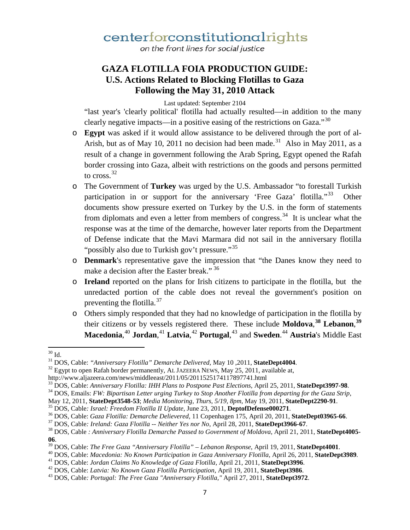on the front lines for social justice

## **GAZA FLOTILLA FOIA PRODUCTION GUIDE: U.S. Actions Related to Blocking Flotillas to Gaza Following the May 31, 2010 Attack**

Last updated: September 2104

"last year's 'clearly political' flotilla had actually resulted—in addition to the many clearly negative impacts—in a positive easing of the restrictions on Gaza." $30$ 

- o **Egypt** was asked if it would allow assistance to be delivered through the port of al-Arish, but as of May 10, 2011 no decision had been made.<sup>31</sup> Also in May 2011, as a result of a change in government following the Arab Spring, Egypt opened the Rafah border crossing into Gaza, albeit with restrictions on the goods and persons permitted to cross.  $32$
- o The Government of **Turkey** was urged by the U.S. Ambassador "to forestall Turkish participation in or support for the anniversary 'Free Gaza' flotilla."<sup>33</sup> Other documents show pressure exerted on Turkey by the U.S. in the form of statements from diplomats and even a letter from members of congress.<sup>34</sup> It is unclear what the response was at the time of the demarche, however later reports from the Department of Defense indicate that the Mavi Marmara did not sail in the anniversary flotilla "possibly also due to Turkish gov't pressure."<sup>35</sup>
- o **Denmark**'s representative gave the impression that "the Danes know they need to make a decision after the Easter break." 36
- o **Ireland** reported on the plans for Irish citizens to participate in the flotilla, but the unredacted portion of the cable does not reveal the government's position on preventing the flotilla. $37$
- o Others simply responded that they had no knowledge of participation in the flotilla by their citizens or by vessels registered there. These include **Moldova**, **<sup>38</sup> Lebanon**, **39 Macedonia**, <sup>40</sup> **Jordan**, <sup>41</sup> **Latvia**, <sup>42</sup> **Portugal**, <sup>43</sup> and **Sweden**. <sup>44</sup> **Austria**'s Middle East

 $30$  Id.

<sup>&</sup>lt;sup>31</sup> DOS, Cable: *"Anniversary Flotilla" Demarche Delivered*, May 10, 2011, **StateDept4004**.<br><sup>32</sup> Egypt to open Rafah border permanently, AL JAZEERA NEWS, May 25, 2011, available at,

http://www.aljazeera.com/news/middleeast/2011/05/2011525174117897741.html<br><sup>33</sup> DOS, Cable: Anniversary Flotilla: IHH Plans to Postpone Past Elections, April 25, 2011, StateDept3997-98.

 $34$  DOS, Emails: FW: Bipartisan Letter urging Turkey to Stop Another Flotilla from departing for the Gaza Strip,<br>May 12, 2011, **StateDept3548-53**; Media Monitoring, Thurs, 5/19, 8pm, May 19, 2011, **StateDept2290-91**.

<sup>&</sup>lt;sup>35</sup> DOS, Cable: *Israel: Freedom Flotilla II Update*, June 23, 2011, **DeptofDefense000271**.<br><sup>36</sup> DOS, Cable: *Gaza Flotilla: Demarche Delievered*, 11 Copenhagen 175, April 20, 2011, **StateDept03965-66**.<br><sup>37</sup> DOS, Cable:

**<sup>06.</sup>**<br><sup>39</sup> DOS, Cable: *The Free Gaza "Anniversary Flotilla" – Lebanon Response*, April 19, 2011, **StateDept4001**.<br><sup>40</sup> DOS, Cable: *Macedonia: No Known Participation in Gaza Anniversary Flotilla*, April 26, 2011, **StateDe**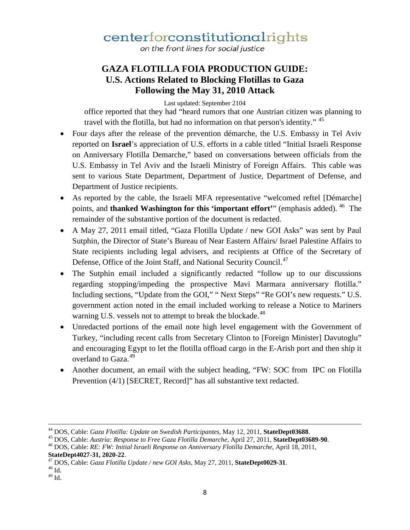on the front lines for social justice

## **GAZA FLOTILLA FOIA PRODUCTION GUIDE: U.S. Actions Related to Blocking Flotillas to Gaza Following the May 31, 2010 Attack**

Last updated: September 2104

office reported that they had "heard rumors that one Austrian citizen was planning to travel with the flotilla, but had no information on that person's identity." <sup>45</sup>

- Four days after the release of the prevention démarche, the U.S. Embassy in Tel Aviv reported on **Israel**'s appreciation of U.S. efforts in a cable titled "Initial Israeli Response on Anniversary Flotilla Demarche," based on conversations between officials from the U.S. Embassy in Tel Aviv and the Israeli Ministry of Foreign Affairs. This cable was sent to various State Department, Department of Justice, Department of Defense, and Department of Justice recipients.
- As reported by the cable, the Israeli MFA representative "welcomed reftel [Démarche] points, and **thanked Washington for this 'important effort'**" (emphasis added). <sup>46</sup> The remainder of the substantive portion of the document is redacted.
- A May 27, 2011 email titled, "Gaza Flotilla Update / new GOI Asks" was sent by Paul Sutphin, the Director of State's Bureau of Near Eastern Affairs/ Israel Palestine Affairs to State recipients including legal advisers, and recipients at Office of the Secretary of Defense, Office of the Joint Staff, and National Security Council.<sup>47</sup>
- The Sutphin email included a significantly redacted "follow up to our discussions" regarding stopping/impeding the prospective Mavi Marmara anniversary flotilla." Including sections, "Update from the GOI," " Next Steps" "Re GOI's new requests." U.S. government action noted in the email included working to release a Notice to Mariners warning U.S. vessels not to attempt to break the blockade.<sup>48</sup>
- Unredacted portions of the email note high level engagement with the Government of Turkey, "including recent calls from Secretary Clinton to [Foreign Minister] Davutoglu" and encouraging Egypt to let the flotilla offload cargo in the E-Arish port and then ship it overland to Gaza.<sup>49</sup>
- Another document, an email with the subject heading, "FW: SOC from IPC on Flotilla Prevention (4/1) [SECRET, Record]" has all substantive text redacted.

l

<sup>&</sup>lt;sup>44</sup> DOS, Cable: *Gaza Flotilla: Update on Swedish Participantes*, May 12, 2011, **StateDept03688**.<br><sup>45</sup> DOS, Cable: *Austria: Response to Free Gaza Flotilla Demarche*, April 27, 2011, **StateDept03689-90**.<br><sup>46</sup> DOS, Cable:

**StateDept4027-31, 2020-22.** 47 DOS, Cable: *Gaza Flotilla Update / new GOI Asks*, May 27, 2011, **StateDept0029-31**. 48 Id.

 $49$  Id.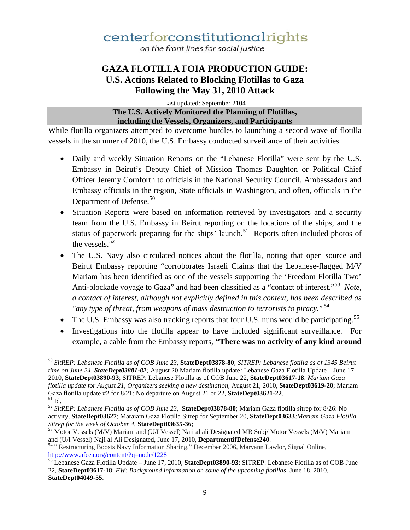on the front lines for social justice

## **GAZA FLOTILLA FOIA PRODUCTION GUIDE: U.S. Actions Related to Blocking Flotillas to Gaza Following the May 31, 2010 Attack**

Last updated: September 2104 **The U.S. Actively Monitored the Planning of Flotillas, including the Vessels, Organizers, and Participants**

While flotilla organizers attempted to overcome hurdles to launching a second wave of flotilla vessels in the summer of 2010, the U.S. Embassy conducted surveillance of their activities.

- Daily and weekly Situation Reports on the "Lebanese Flotilla" were sent by the U.S. Embassy in Beirut's Deputy Chief of Mission Thomas Daughton or Political Chief Officer Jeremy Cornforth to officials in the National Security Council, Ambassadors and Embassy officials in the region, State officials in Washington, and often, officials in the Department of Defense.<sup>50</sup>
- Situation Reports were based on information retrieved by investigators and a security team from the U.S. Embassy in Beirut reporting on the locations of the ships, and the status of paperwork preparing for the ships' launch.<sup>51</sup> Reports often included photos of the vessels.  $52$
- The U.S. Navy also circulated notices about the flotilla, noting that open source and Beirut Embassy reporting "corroborates Israeli Claims that the Lebanese-flagged M/V Mariam has been identified as one of the vessels supporting the 'Freedom Flotilla Two' Anti-blockade voyage to Gaza" and had been classified as a "contact of interest."53 *Note, a contact of interest, although not explicitly defined in this context, has been described as "any type of threat, from weapons of mass destruction to terrorists to piracy."* 54
- The U.S. Embassy was also tracking reports that four U.S. nuns would be participating.<sup>55</sup>
- Investigations into the flotilla appear to have included significant surveillance. For example, a cable from the Embassy reports, **"There was no activity of any kind around**

<sup>50</sup> *SitREP: Lebanese Flotilla as of COB June 23,* **StateDept03878-80**; *SITREP: Lebanese flotilla as of 1345 Beirut time on June 24, StateDept03881-82;* August 20 Mariam flotilla update*;* Lebanese Gaza Flotilla Update – June 17, 2010, **StateDept03890-93**; SITREP: Lebanese Flotilla as of COB June 22, **StateDept03617-18**; *Mariam Gaza flotilla update for August 21, Organizers seeking a new destination,* August 21, 2010, **StateDept03619-20**; Mariam Gaza flotilla update #2 for 8/21: No departure on August 21 or 22, **StateDept03621-22**.<br><sup>51</sup> Id. 52 *SitREP: Lebanese Flotilla as of COB June 23*, **StateDept03878-80**; Mariam Gaza flotilla sitrep for 8/26: No l

activity, **StateDept03627**; Maraiam Gaza Flotilla Sitrep for September 20, **StateDept03633***;Mariam Gaza Flotilla* 

<sup>&</sup>lt;sup>53</sup> Motor Vessels (M/V) Mariam and (U/I Vessel) Naji al ali Designated MR Subj/ Motor Vessels (M/V) Mariam and (U/I Vessel) Naji al Ali Designated, June 17, 2010, **DepartmentifDefense240**.

<sup>&</sup>lt;sup>54</sup> " Restructuring Boosts Navy Information Sharing," December 2006, Maryann Lawlor, Signal Online, http://www.afcea.org/content/?q=node/1228

<sup>&</sup>lt;sup>55</sup> Lebanese Gaza Flotilla Update – June 17, 2010, **StateDept03890-93**; SITREP: Lebanese Flotilla as of COB June 22, **StateDept03617-18**; *FW: Background information on some of the upcoming flotillas*, June 18, 2010, **StateDept04049-55**.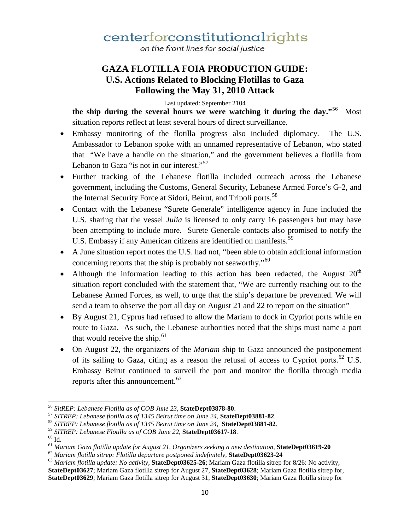on the front lines for social justice

## **GAZA FLOTILLA FOIA PRODUCTION GUIDE: U.S. Actions Related to Blocking Flotillas to Gaza Following the May 31, 2010 Attack**

Last updated: September 2104

**the ship during the several hours we were watching it during the day."**56 Most situation reports reflect at least several hours of direct surveillance.

- Embassy monitoring of the flotilla progress also included diplomacy. The U.S. Ambassador to Lebanon spoke with an unnamed representative of Lebanon, who stated that "We have a handle on the situation," and the government believes a flotilla from Lebanon to Gaza "is not in our interest."<sup>57</sup>
- Further tracking of the Lebanese flotilla included outreach across the Lebanese government, including the Customs, General Security, Lebanese Armed Force's G-2, and the Internal Security Force at Sidori, Beirut, and Tripoli ports.<sup>58</sup>
- Contact with the Lebanese "Surete Generale" intelligence agency in June included the U.S. sharing that the vessel *Julia* is licensed to only carry 16 passengers but may have been attempting to include more. Surete Generale contacts also promised to notify the U.S. Embassy if any American citizens are identified on manifests.<sup>59</sup>
- A June situation report notes the U.S. had not, "been able to obtain additional information concerning reports that the ship is probably not seaworthy."<sup>60</sup>
- Although the information leading to this action has been redacted, the August  $20<sup>th</sup>$ situation report concluded with the statement that, "We are currently reaching out to the Lebanese Armed Forces, as well, to urge that the ship's departure be prevented. We will send a team to observe the port all day on August 21 and 22 to report on the situation"
- By August 21, Cyprus had refused to allow the Mariam to dock in Cypriot ports while en route to Gaza. As such, the Lebanese authorities noted that the ships must name a port that would receive the ship.<sup>61</sup>
- On August 22, the organizers of the *Mariam* ship to Gaza announced the postponement of its sailing to Gaza, citing as a reason the refusal of access to Cypriot ports.<sup>62</sup> U.S. Embassy Beirut continued to surveil the port and monitor the flotilla through media reports after this announcement.<sup>63</sup>

l

<sup>&</sup>lt;sup>56</sup> SitREP: Lebanese Flotilla as of COB June 23, **StateDept03878-80**.<br><sup>57</sup> SITREP: Lebanese flotilla as of 1345 Beirut time on June 24, **StateDept03881-82**.<br><sup>58</sup> SITREP: Lebanese flotilla as of 1345 Beirut time on June 2

**StateDept03627**; Mariam Gaza flotilla sitrep for August 27, **StateDept03628**; Mariam Gaza flotilla sitrep for, **StateDept03629**; Mariam Gaza flotilla sitrep for August 31, **StateDept03630**; Mariam Gaza flotilla sitrep for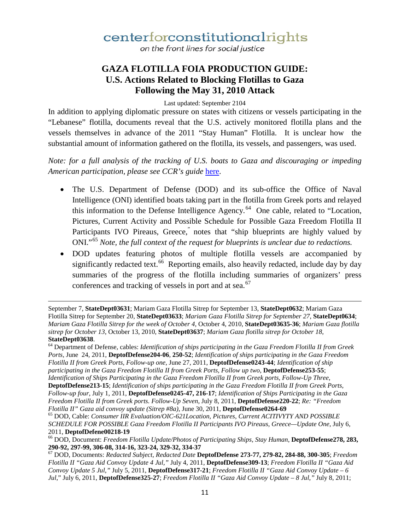on the front lines for social justice

## **GAZA FLOTILLA FOIA PRODUCTION GUIDE: U.S. Actions Related to Blocking Flotillas to Gaza Following the May 31, 2010 Attack**

Last updated: September 2104

In addition to applying diplomatic pressure on states with citizens or vessels participating in the "Lebanese" flotilla, documents reveal that the U.S. actively monitored flotilla plans and the vessels themselves in advance of the 2011 "Stay Human" Flotilla. It is unclear how the substantial amount of information gathered on the flotilla, its vessels, and passengers, was used.

*Note: for a full analysis of the tracking of U.S. boats to Gaza and discouraging or impeding American participation, please see CCR's guide* here.

- The U.S. Department of Defense (DOD) and its sub-office the Office of Naval Intelligence (ONI) identified boats taking part in the flotilla from Greek ports and relayed this information to the Defense Intelligence Agency.<sup>64</sup> One cable, related to "Location, Pictures, Current Activity and Possible Schedule for Possible Gaza Freedom Flotilla II Participants IVO Pireaus, Greece, notes that "ship blueprints are highly valued by ONI."<sup>65</sup> *Note, the full context of the request for blueprints is unclear due to redactions.*
- DOD updates featuring photos of multiple flotilla vessels are accompanied by significantly redacted text.<sup>66</sup> Reporting emails, also heavily redacted, include day by day summaries of the progress of the flotilla including summaries of organizers' press conferences and tracking of vessels in port and at sea.<sup>67</sup>

 $\overline{\phantom{a}}$ 

September 7, **StateDept03631**; Mariam Gaza Flotilla Sitrep for September 13, **StateDept0632**; Mariam Gaza Flotilla Sitrep for September 20, **StateDept03633**; *Mariam Gaza Flotilla Sitrep for September 27*, **StateDept0634**; *Mariam Gaza Flotilla Sitrep for the week of October 4*, October 4, 2010, **StateDept03635-36**; *Mariam Gaza flotilla sitrep for October 13*, October 13, 2010, **StateDept03637**; *Mariam Gaza flotilla sitrep for October 18*, **StateDept03638.**<br><sup>64</sup> Department of Defense, cables: *Identification of ships participating in the Gaza Freedom Flotilla II from Greek* 

*Ports,* June 24, 2011, **DeptofDefense204-06**, **250-52**; *Identification of ships participating in the Gaza Freedom Flotilla II from Greek Ports, Follow-up one*, June 27, 2011, **DeptofDefense0243-44**; *Identification of ship participating in the Gaza Freedom Flotilla II from Greek Ports, Follow up two*, **DeptofDefense253-55**; *Identification of Ships Participating in the Gaza Freedom Flotilla II from Greek ports, Follow-Up Three*,

**DeptofDefense213-15**; *Identification of ships participating in the Gaza Freedom Flotilla II from Greek Ports, Follow-up four*, July 1, 2011, **DeptofDefense0245-47, 216-17**; *Identification of Ships Participating in the Gaza Freedom Flotilla II from Greek ports. Follow-Up Seven*, July 8, 2011, **DeptofDefense220-22**; *Re: "Freedom* 

<sup>&</sup>lt;sup>65</sup> DOD, Cable: *Consumer IIR Evaluation/OIC-621Location, Pictures, Current ACITIVYTY AND POSSIBLE SCHEDULE FOR POSSIBLE Gaza Freedom Flotilla II Participants IVO Pireaus, Greece—Update One*, July 6, 2011, **DeptofDefene00218-19** <sup>66</sup> DOD, Document: *Freedom Flotilla Update/Photos of Participating Ships, Stay Human*, **DeptofDefense278, 283,** 

**<sup>290-92, 297-99, 306-08, 314-16, 323-24, 329-32, 334-37</sup>** <sup>67</sup> DOD, Documents: *Redacted Subject, Redacted Date* **DeptofDefense 273-77, 279-82, 284-88, 300-305**; *Freedom Flotilla II "Gaza Aid Convoy Update 4 Jul,"* July 4, 2011, **DeptofDefense309-13**; *Freedom Flotilla II "Gaza Aid Convoy Update 5 Jul,"* July 5, 2011, **DeptofDefense317-21**; *Freedom Flotilla II "Gaza Aid Convoy Update – 6 Jul*," July 6, 2011, **DeptofDefense325-27**; *Freedom Flotilla II "Gaza Aid Convoy Update – 8 Jul,"* July 8, 2011;